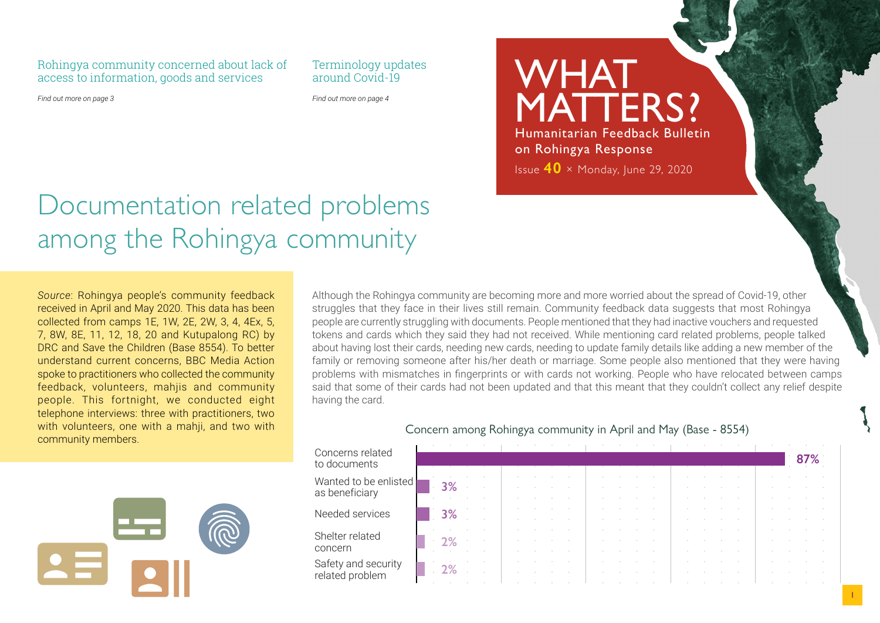Rohingya community concerned about lack of access to information, goods and services

Terminology updates around Covid-19

*Find out more on page 3*

*Find out more on page 4*

MATTERS? Humanitarian Feedback Bulletin on Rohingya Response Issue **40** × Monday, June 29, 2020

WHAT

## Documentation related problems among the Rohingya community

*Source*: Rohingya people's community feedback received in April and May 2020. This data has been collected from camps 1E, 1W, 2E, 2W, 3, 4, 4Ex, 5, 7, 8W, 8E, 11, 12, 18, 20 and Kutupalong RC) by DRC and Save the Children (Base 8554). To better understand current concerns, BBC Media Action spoke to practitioners who collected the community feedback, volunteers, mahjis and community people. This fortnight, we conducted eight telephone interviews: three with practitioners, two with volunteers, one with a mahji, and two with with volunteers, one with a mahji, and two with the same of the concern among Rohingya community in April and May (Base - 8554) community members.



Although the Rohingya community are becoming more and more worried about the spread of Covid-19, other struggles that they face in their lives still remain. Community feedback data suggests that most Rohingya people are currently struggling with documents. People mentioned that they had inactive vouchers and requested tokens and cards which they said they had not received. While mentioning card related problems, people talked about having lost their cards, needing new cards, needing to update family details like adding a new member of the family or removing someone after his/her death or marriage. Some people also mentioned that they were having problems with mismatches in fingerprints or with cards not working. People who have relocated between camps said that some of their cards had not been updated and that this meant that they couldn't collect any relief despite having the card.

| Concerns related<br>to documents        |            |  |  |  |  |  |  |  |  |  |
|-----------------------------------------|------------|--|--|--|--|--|--|--|--|--|
| Wanted to be enlisted<br>as beneficiary | $\cdot$ 3% |  |  |  |  |  |  |  |  |  |
| Needed services                         | 3%         |  |  |  |  |  |  |  |  |  |
| Shelter related<br>concern              | $\cdot$ 2% |  |  |  |  |  |  |  |  |  |
| Safety and security<br>related problem  | $\cdot$ 2% |  |  |  |  |  |  |  |  |  |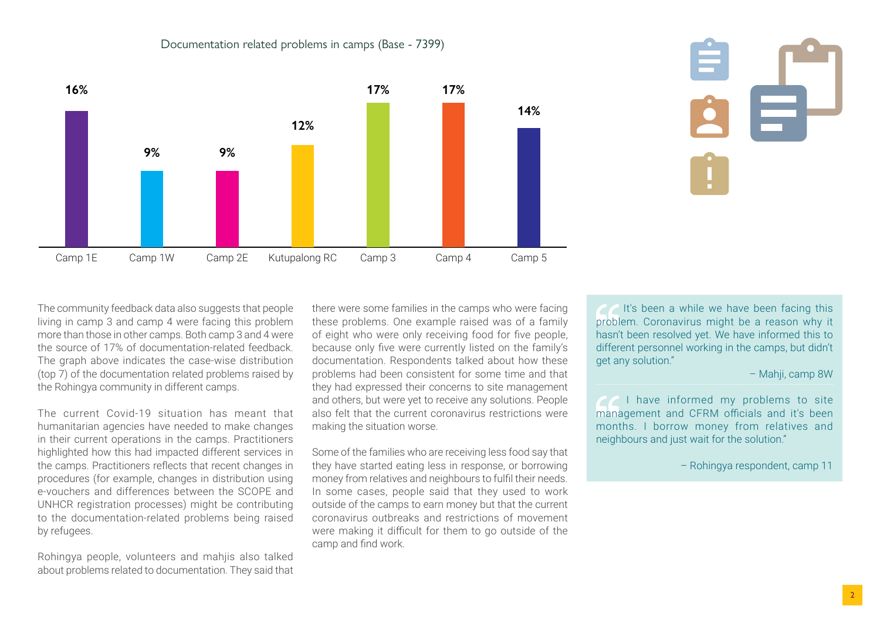



The community feedback data also suggests that people living in camp 3 and camp 4 were facing this problem more than those in other camps. Both camp 3 and 4 were the source of 17% of documentation-related feedback. The graph above indicates the case-wise distribution (top 7) of the documentation related problems raised by the Rohingya community in different camps.

The current Covid-19 situation has meant that humanitarian agencies have needed to make changes in their current operations in the camps. Practitioners highlighted how this had impacted different services in the camps. Practitioners reflects that recent changes in procedures (for example, changes in distribution using e-vouchers and differences between the SCOPE and UNHCR registration processes) might be contributing to the documentation-related problems being raised by refugees.

Rohingya people, volunteers and mahjis also talked about problems related to documentation. They said that there were some families in the camps who were facing these problems. One example raised was of a family of eight who were only receiving food for five people, because only five were currently listed on the family's documentation. Respondents talked about how these problems had been consistent for some time and that they had expressed their concerns to site management and others, but were yet to receive any solutions. People also felt that the current coronavirus restrictions were making the situation worse.

Some of the families who are receiving less food say that they have started eating less in response, or borrowing money from relatives and neighbours to fulfil their needs. In some cases, people said that they used to work outside of the camps to earn money but that the current coronavirus outbreaks and restrictions of movement were making it difficult for them to go outside of the camp and find work.

It's been a while we have been facing this problem. Coronavirus might be a reason why it hasn't been resolved yet. We have informed this to different personnel working in the camps, but didn't get any solution."

– Mahji, camp 8W

*I* I have informed my problems to site management and CFRM officials and it's been months. I borrow money from relatives and neighbours and just wait for the solution."

– Rohingya respondent, camp 11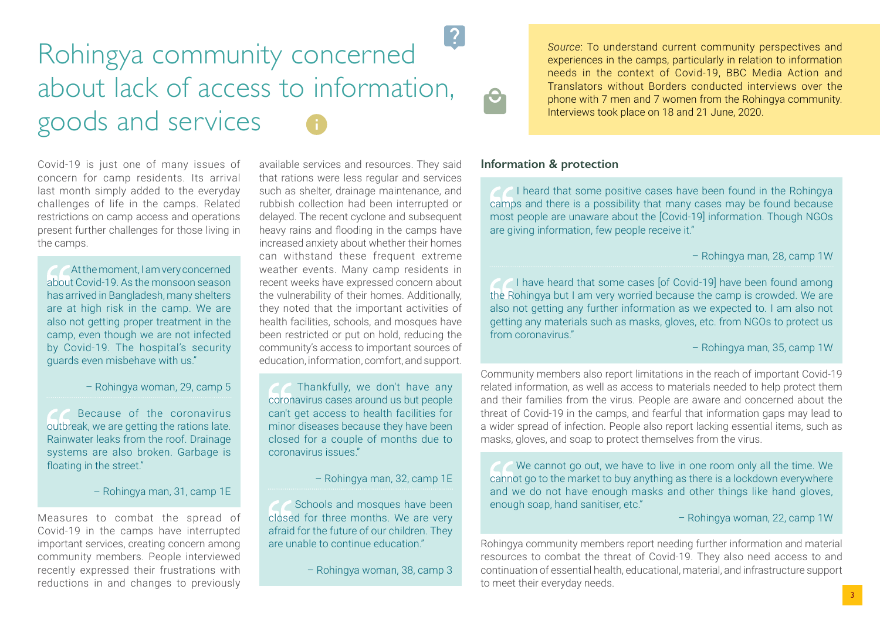## Rohingya community concerned about lack of access to information, goods and services

Covid-19 is just one of many issues of concern for camp residents. Its arrival last month simply added to the everyday challenges of life in the camps. Related restrictions on camp access and operations present further challenges for those living in the camps.

At the moment, I am very concerned about Covid-19. As the monsoon season has arrived in Bangladesh, many shelters are at high risk in the camp. We are also not getting proper treatment in the camp, even though we are not infected by Covid-19. The hospital's security guards even misbehave with us."

– Rohingya woman, 29, camp 5

 Because of the coronavirus outbreak, we are getting the rations late. Rainwater leaks from the roof. Drainage systems are also broken. Garbage is floating in the street."

– Rohingya man, 31, camp 1E

Measures to combat the spread of Covid-19 in the camps have interrupted important services, creating concern among community members. People interviewed recently expressed their frustrations with reductions in and changes to previously available services and resources. They said that rations were less regular and services such as shelter, drainage maintenance, and rubbish collection had been interrupted or delayed. The recent cyclone and subsequent heavy rains and flooding in the camps have increased anxiety about whether their homes can withstand these frequent extreme weather events. Many camp residents in recent weeks have expressed concern about the vulnerability of their homes. Additionally, they noted that the important activities of health facilities, schools, and mosques have been restricted or put on hold, reducing the community's access to important sources of education, information, comfort, and support.

**Thankfully**, we don't have any coronavirus cases around us but people can't get access to health facilities for minor diseases because they have been closed for a couple of months due to coronavirus issues."

– Rohingya man, 32, camp 1E

Schools and mosques have been closed for three months. We are very afraid for the future of our children. They are unable to continue education."

– Rohingya woman, 38, camp 3

*Source*: To understand current community perspectives and experiences in the camps, particularly in relation to information needs in the context of Covid-19, BBC Media Action and Translators without Borders conducted interviews over the phone with 7 men and 7 women from the Rohingya community. Interviews took place on 18 and 21 June, 2020.

## **Information & protection**

**I** heard that some positive cases have been found in the Rohingya camps and there is a possibility that many cases may be found because most people are unaware about the [Covid-19] information. Though NGOs are giving information, few people receive it."

– Rohingya man, 28, camp 1W

 I have heard that some cases [of Covid-19] have been found among the Rohingya but I am very worried because the camp is crowded. We are also not getting any further information as we expected to. I am also not getting any materials such as masks, gloves, etc. from NGOs to protect us from coronavirus."

– Rohingya man, 35, camp 1W

Community members also report limitations in the reach of important Covid-19 related information, as well as access to materials needed to help protect them and their families from the virus. People are aware and concerned about the threat of Covid-19 in the camps, and fearful that information gaps may lead to a wider spread of infection. People also report lacking essential items, such as masks, gloves, and soap to protect themselves from the virus.

 We cannot go out, we have to live in one room only all the time. We cannot go to the market to buy anything as there is a lockdown everywhere and we do not have enough masks and other things like hand gloves, enough soap, hand sanitiser, etc."

– Rohingya woman, 22, camp 1W

Rohingya community members report needing further information and material resources to combat the threat of Covid-19. They also need access to and continuation of essential health, educational, material, and infrastructure support to meet their everyday needs.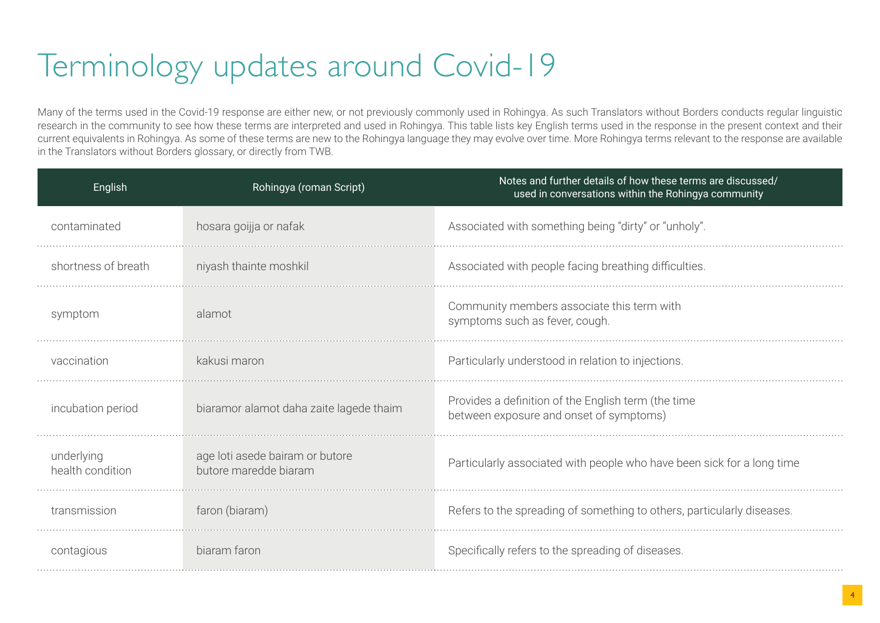## Terminology updates around Covid-19

Many of the terms used in the Covid-19 response are either new, or not previously commonly used in Rohingya. As such Translators without Borders conducts regular linguistic research in the community to see how these terms are interpreted and used in Rohingya. This table lists key English terms used in the response in the present context and their current equivalents in Rohingya. As some of these terms are new to the Rohingya language they may evolve over time. More Rohingya terms relevant to the response are available in the Translators without Borders glossary, or directly from TWB.

| English                        | Rohingya (roman Script)                                  | Notes and further details of how these terms are discussed/<br>used in conversations within the Rohingya community |  |  |  |  |  |
|--------------------------------|----------------------------------------------------------|--------------------------------------------------------------------------------------------------------------------|--|--|--|--|--|
| contaminated                   | hosara goijja or nafak                                   | Associated with something being "dirty" or "unholy".                                                               |  |  |  |  |  |
| shortness of breath            | niyash thainte moshkil                                   | Associated with people facing breathing difficulties.                                                              |  |  |  |  |  |
| symptom                        | alamot                                                   | Community members associate this term with<br>symptoms such as fever, cough.                                       |  |  |  |  |  |
| vaccination                    | kakusi maron                                             | Particularly understood in relation to injections.                                                                 |  |  |  |  |  |
| incubation period              | biaramor alamot daha zaite lagede thaim                  | Provides a definition of the English term (the time<br>between exposure and onset of symptoms)                     |  |  |  |  |  |
| underlying<br>health condition | age loti asede bairam or butore<br>butore maredde biaram | Particularly associated with people who have been sick for a long time                                             |  |  |  |  |  |
| transmission                   | faron (biaram)                                           | Refers to the spreading of something to others, particularly diseases.                                             |  |  |  |  |  |
| contagious                     | biaram faron                                             | Specifically refers to the spreading of diseases.                                                                  |  |  |  |  |  |